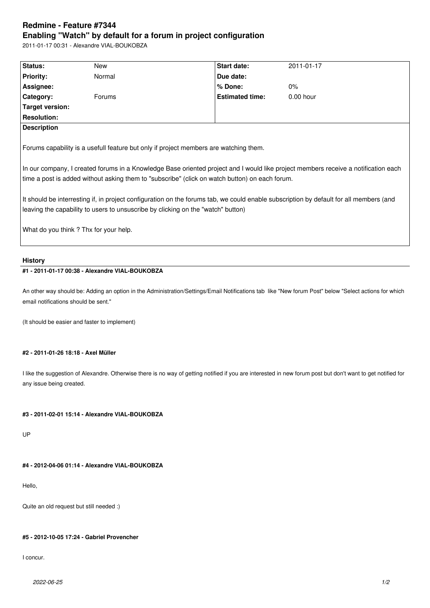# **Redmine - Feature #7344 Enabling "Watch" by default for a forum in project configuration**

2011-01-17 00:31 - Alexandre VIAL-BOUKOBZA

| Status:                                                                                                                                                                                                                                                                                                                                                                        | New    | Start date:            | 2011-01-17  |
|--------------------------------------------------------------------------------------------------------------------------------------------------------------------------------------------------------------------------------------------------------------------------------------------------------------------------------------------------------------------------------|--------|------------------------|-------------|
| <b>Priority:</b>                                                                                                                                                                                                                                                                                                                                                               | Normal | Due date:              |             |
| Assignee:                                                                                                                                                                                                                                                                                                                                                                      |        | % Done:                | 0%          |
| Category:                                                                                                                                                                                                                                                                                                                                                                      | Forums | <b>Estimated time:</b> | $0.00$ hour |
| <b>Target version:</b>                                                                                                                                                                                                                                                                                                                                                         |        |                        |             |
| <b>Resolution:</b>                                                                                                                                                                                                                                                                                                                                                             |        |                        |             |
| <b>Description</b>                                                                                                                                                                                                                                                                                                                                                             |        |                        |             |
| In our company, I created forums in a Knowledge Base oriented project and I would like project members receive a notification each<br>time a post is added without asking them to "subscribe" (click on watch button) on each forum.<br>It should be interresting if, in project configuration on the forums tab, we could enable subscription by default for all members (and |        |                        |             |
| leaving the capability to users to unsuscribe by clicking on the "watch" button)                                                                                                                                                                                                                                                                                               |        |                        |             |
|                                                                                                                                                                                                                                                                                                                                                                                |        |                        |             |
| What do you think? Thx for your help.                                                                                                                                                                                                                                                                                                                                          |        |                        |             |
| <b>History</b>                                                                                                                                                                                                                                                                                                                                                                 |        |                        |             |

## **#1 - 2011-01-17 00:38 - Alexandre VIAL-BOUKOBZA**

An other way should be: Adding an option in the Administration/Settings/Email Notifications tab like "New forum Post" below "Select actions for which email notifications should be sent."

(It should be easier and faster to implement)

#### **#2 - 2011-01-26 18:18 - Axel Müller**

I like the suggestion of Alexandre. Otherwise there is no way of getting notified if you are interested in new forum post but don't want to get notified for any issue being created.

#### **#3 - 2011-02-01 15:14 - Alexandre VIAL-BOUKOBZA**

UP

## **#4 - 2012-04-06 01:14 - Alexandre VIAL-BOUKOBZA**

Hello,

Quite an old request but still needed :)

## **#5 - 2012-10-05 17:24 - Gabriel Provencher**

I concur.